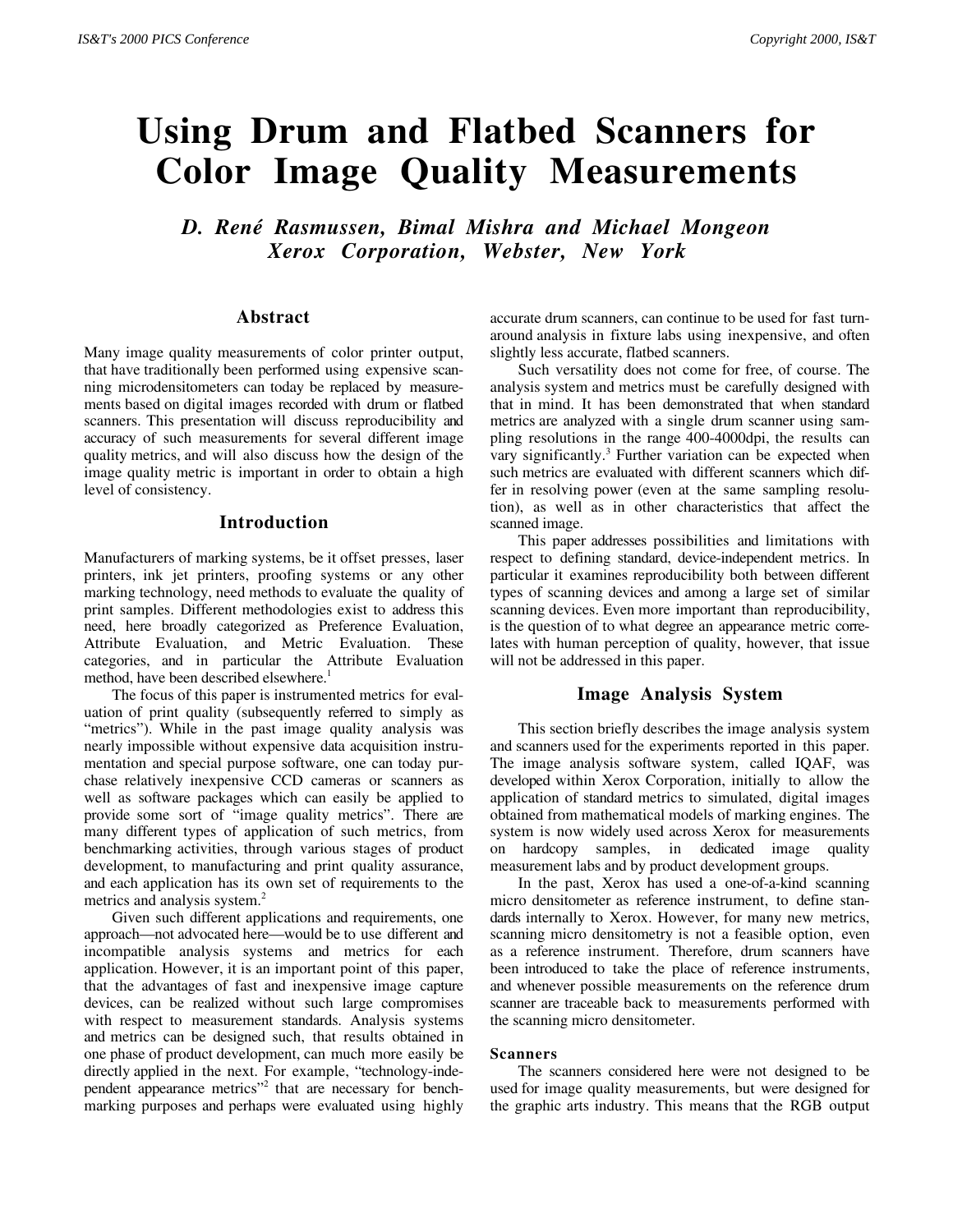# **Using Drum and Flatbed Scanners for Color Image Quality Measurements**

*D. René Rasmussen, Bimal Mishra and Michael Mongeon Xerox Corporation, Webster, New York*

### **Abstract**

Many image quality measurements of color printer output, that have traditionally been performed using expensive scanning microdensitometers can today be replaced by measurements based on digital images recorded with drum or flatbed scanners. This presentation will discuss reproducibility and accuracy of such measurements for several different image quality metrics, and will also discuss how the design of the image quality metric is important in order to obtain a high level of consistency.

## **Introduction**

Manufacturers of marking systems, be it offset presses, laser printers, ink jet printers, proofing systems or any other marking technology, need methods to evaluate the quality of print samples. Different methodologies exist to address this need, here broadly categorized as Preference Evaluation, Attribute Evaluation, and Metric Evaluation. These categories, and in particular the Attribute Evaluation method, have been described elsewhere.<sup>1</sup>

The focus of this paper is instrumented metrics for evaluation of print quality (subsequently referred to simply as "metrics"). While in the past image quality analysis was nearly impossible without expensive data acquisition instrumentation and special purpose software, one can today purchase relatively inexpensive CCD cameras or scanners as well as software packages which can easily be applied to provide some sort of "image quality metrics". There are many different types of application of such metrics, from benchmarking activities, through various stages of product development, to manufacturing and print quality assurance, and each application has its own set of requirements to the metrics and analysis system.<sup>2</sup>

Given such different applications and requirements, one approach—not advocated here—would be to use different and incompatible analysis systems and metrics for each application. However, it is an important point of this paper, that the advantages of fast and inexpensive image capture devices, can be realized without such large compromises with respect to measurement standards. Analysis systems and metrics can be designed such, that results obtained in one phase of product development, can much more easily be directly applied in the next. For example, "technology-independent appearance metrics"<sup>2</sup> that are necessary for benchmarking purposes and perhaps were evaluated using highly accurate drum scanners, can continue to be used for fast turnaround analysis in fixture labs using inexpensive, and often slightly less accurate, flatbed scanners.

Such versatility does not come for free, of course. The analysis system and metrics must be carefully designed with that in mind. It has been demonstrated that when standard metrics are analyzed with a single drum scanner using sampling resolutions in the range 400-4000dpi, the results can vary significantly.<sup>3</sup> Further variation can be expected when such metrics are evaluated with different scanners which differ in resolving power (even at the same sampling resolution), as well as in other characteristics that affect the scanned image.

This paper addresses possibilities and limitations with respect to defining standard, device-independent metrics. In particular it examines reproducibility both between different types of scanning devices and among a large set of similar scanning devices. Even more important than reproducibility, is the question of to what degree an appearance metric correlates with human perception of quality, however, that issue will not be addressed in this paper.

## **Image Analysis System**

This section briefly describes the image analysis system and scanners used for the experiments reported in this paper. The image analysis software system, called IQAF, was developed within Xerox Corporation, initially to allow the application of standard metrics to simulated, digital images obtained from mathematical models of marking engines. The system is now widely used across Xerox for measurements on hardcopy samples, in dedicated image quality measurement labs and by product development groups.

In the past, Xerox has used a one-of-a-kind scanning micro densitometer as reference instrument, to define standards internally to Xerox. However, for many new metrics, scanning micro densitometry is not a feasible option, even as a reference instrument. Therefore, drum scanners have been introduced to take the place of reference instruments, and whenever possible measurements on the reference drum scanner are traceable back to measurements performed with the scanning micro densitometer.

#### **Scanners**

The scanners considered here were not designed to be used for image quality measurements, but were designed for the graphic arts industry. This means that the RGB output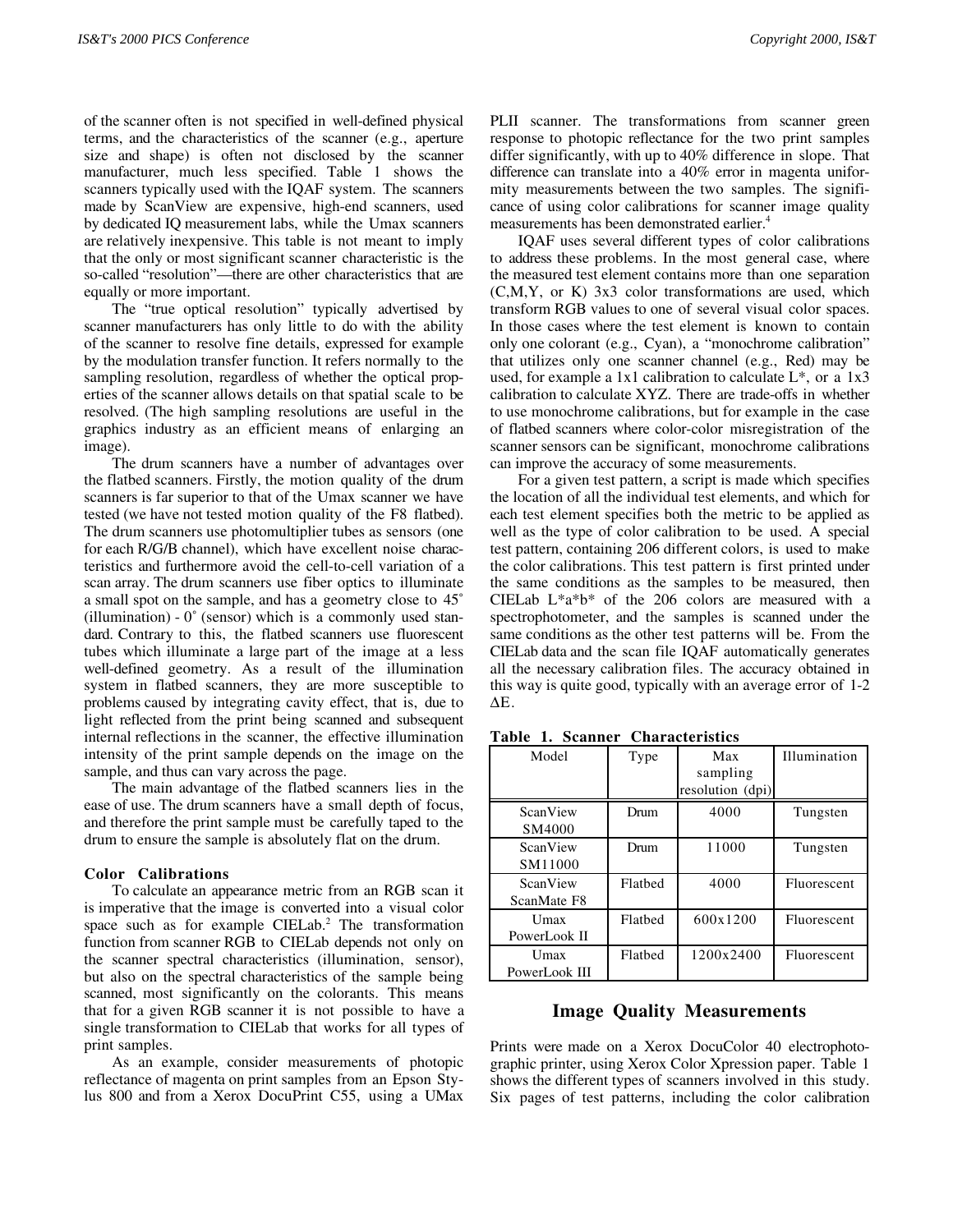of the scanner often is not specified in well-defined physical terms, and the characteristics of the scanner (e.g., aperture size and shape) is often not disclosed by the scanner manufacturer, much less specified. Table 1 shows the scanners typically used with the IQAF system. The scanners made by ScanView are expensive, high-end scanners, used by dedicated IQ measurement labs, while the Umax scanners are relatively inexpensive. This table is not meant to imply that the only or most significant scanner characteristic is the so-called "resolution"—there are other characteristics that are equally or more important.

The "true optical resolution" typically advertised by scanner manufacturers has only little to do with the ability of the scanner to resolve fine details, expressed for example by the modulation transfer function. It refers normally to the sampling resolution, regardless of whether the optical properties of the scanner allows details on that spatial scale to be resolved. (The high sampling resolutions are useful in the graphics industry as an efficient means of enlarging an image).

The drum scanners have a number of advantages over the flatbed scanners. Firstly, the motion quality of the drum scanners is far superior to that of the Umax scanner we have tested (we have not tested motion quality of the F8 flatbed). The drum scanners use photomultiplier tubes as sensors (one for each R/G/B channel), which have excellent noise characteristics and furthermore avoid the cell-to-cell variation of a scan array. The drum scanners use fiber optics to illuminate a small spot on the sample, and has a geometry close to 45˚ (illumination) -  $0^{\circ}$  (sensor) which is a commonly used standard. Contrary to this, the flatbed scanners use fluorescent tubes which illuminate a large part of the image at a less well-defined geometry. As a result of the illumination system in flatbed scanners, they are more susceptible to problems caused by integrating cavity effect, that is, due to light reflected from the print being scanned and subsequent internal reflections in the scanner, the effective illumination intensity of the print sample depends on the image on the sample, and thus can vary across the page.

The main advantage of the flatbed scanners lies in the ease of use. The drum scanners have a small depth of focus, and therefore the print sample must be carefully taped to the drum to ensure the sample is absolutely flat on the drum.

#### **Color Calibrations**

To calculate an appearance metric from an RGB scan it is imperative that the image is converted into a visual color space such as for example CIELab.<sup>2</sup> The transformation function from scanner RGB to CIELab depends not only on the scanner spectral characteristics (illumination, sensor), but also on the spectral characteristics of the sample being scanned, most significantly on the colorants. This means that for a given RGB scanner it is not possible to have a single transformation to CIELab that works for all types of print samples.

As an example, consider measurements of photopic reflectance of magenta on print samples from an Epson Stylus 800 and from a Xerox DocuPrint C55, using a UMax PLII scanner. The transformations from scanner green response to photopic reflectance for the two print samples differ significantly, with up to 40% difference in slope. That difference can translate into a 40% error in magenta uniformity measurements between the two samples. The significance of using color calibrations for scanner image quality measurements has been demonstrated earlier.<sup>4</sup>

IQAF uses several different types of color calibrations to address these problems. In the most general case, where the measured test element contains more than one separation (C,M,Y, or K) 3x3 color transformations are used, which transform RGB values to one of several visual color spaces. In those cases where the test element is known to contain only one colorant (e.g., Cyan), a "monochrome calibration" that utilizes only one scanner channel (e.g., Red) may be used, for example a 1x1 calibration to calculate L\*, or a 1x3 calibration to calculate XYZ. There are trade-offs in whether to use monochrome calibrations, but for example in the case of flatbed scanners where color-color misregistration of the scanner sensors can be significant, monochrome calibrations can improve the accuracy of some measurements.

For a given test pattern, a script is made which specifies the location of all the individual test elements, and which for each test element specifies both the metric to be applied as well as the type of color calibration to be used. A special test pattern, containing 206 different colors, is used to make the color calibrations. This test pattern is first printed under the same conditions as the samples to be measured, then CIELab L\*a\*b\* of the 206 colors are measured with a spectrophotometer, and the samples is scanned under the same conditions as the other test patterns will be. From the CIELab data and the scan file IQAF automatically generates all the necessary calibration files. The accuracy obtained in this way is quite good, typically with an average error of 1-2 ∆E.

Model Type Max sampling resolution (dpi) Illumination ScanView SM4000 Drum 4000 Tungsten ScanView SM11000 Drum 11000 Tungsten ScanView ScanMate F8 Flatbed 4000 Fluorescent Umax PowerLook II Flatbed 600x1200 Fluorescent Umax PowerLook III Flatbed 1200x2400 Fluorescent

**Table 1. Scanner Characteristics**

### **Image Quality Measurements**

Prints were made on a Xerox DocuColor 40 electrophotographic printer, using Xerox Color Xpression paper. Table 1 shows the different types of scanners involved in this study. Six pages of test patterns, including the color calibration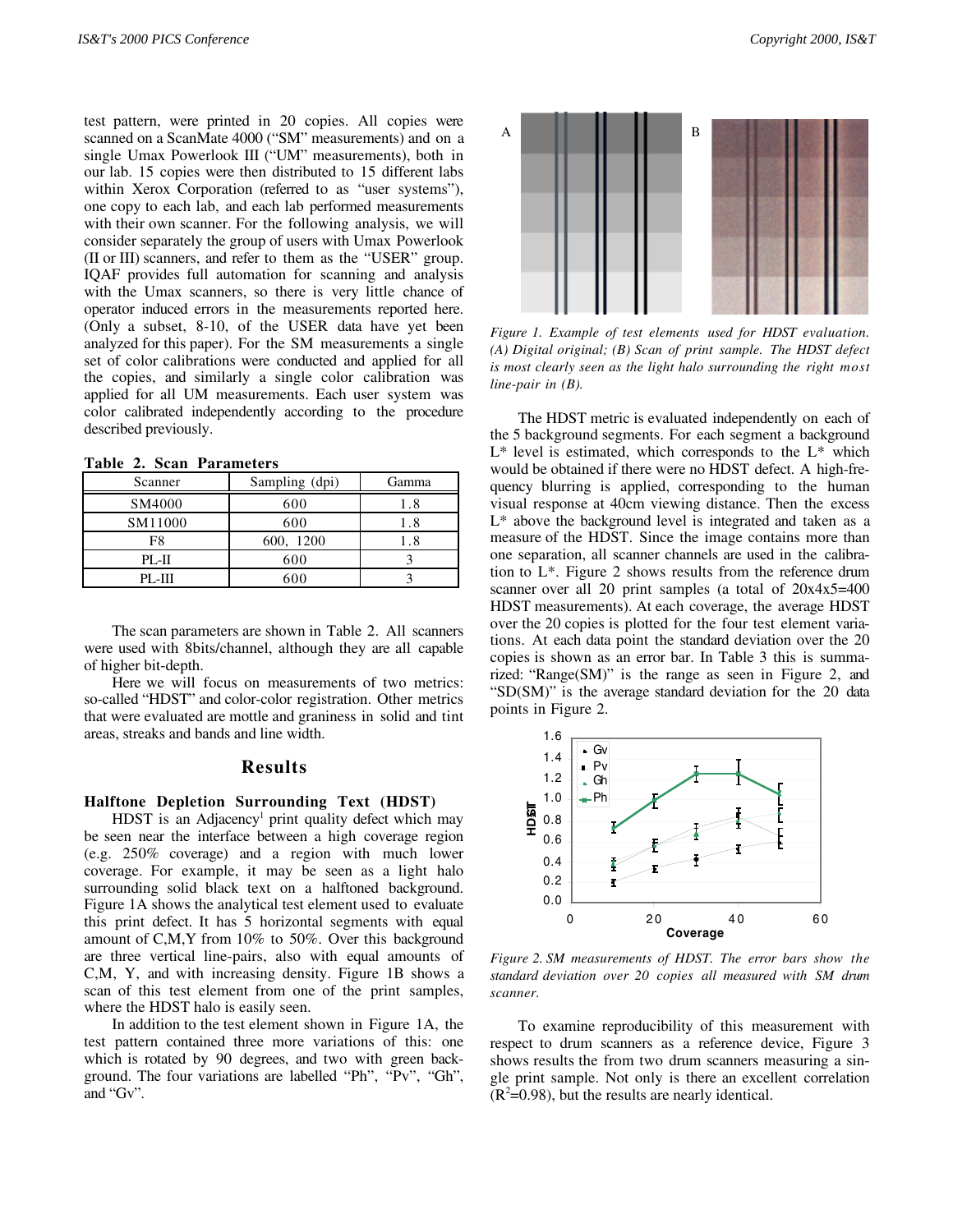test pattern, were printed in 20 copies. All copies were scanned on a ScanMate 4000 ("SM" measurements) and on a single Umax Powerlook III ("UM" measurements), both in our lab. 15 copies were then distributed to 15 different labs within Xerox Corporation (referred to as "user systems"), one copy to each lab, and each lab performed measurements with their own scanner. For the following analysis, we will consider separately the group of users with Umax Powerlook (II or III) scanners, and refer to them as the "USER" group. IQAF provides full automation for scanning and analysis with the Umax scanners, so there is very little chance of operator induced errors in the measurements reported here. (Only a subset, 8-10, of the USER data have yet been analyzed for this paper). For the SM measurements a single set of color calibrations were conducted and applied for all the copies, and similarly a single color calibration was applied for all UM measurements. Each user system was color calibrated independently according to the procedure described previously.

| Scanner     | Sampling (dpi) | Gamma |
|-------------|----------------|-------|
| SM4000      | 600            | 1.8   |
| SM11000     | 600            | 1.8   |
| F8          | 600, 1200      | 1.8   |
| $PL-II$     | 600            |       |
| $PI$ $-III$ |                |       |

**Table 2. Scan Parameters**

The scan parameters are shown in Table 2. All scanners were used with 8bits/channel, although they are all capable of higher bit-depth.

Here we will focus on measurements of two metrics: so-called "HDST" and color-color registration. Other metrics that were evaluated are mottle and graniness in solid and tint areas, streaks and bands and line width.

#### **Results**

#### **Halftone Depletion Surrounding Text (HDST)**

HDST is an Adjacency<sup>1</sup> print quality defect which may be seen near the interface between a high coverage region (e.g. 250% coverage) and a region with much lower coverage. For example, it may be seen as a light halo surrounding solid black text on a halftoned background. Figure 1A shows the analytical test element used to evaluate this print defect. It has 5 horizontal segments with equal amount of C,M,Y from 10% to 50%. Over this background are three vertical line-pairs, also with equal amounts of C,M, Y, and with increasing density. Figure 1B shows a scan of this test element from one of the print samples, where the HDST halo is easily seen.

In addition to the test element shown in Figure 1A, the test pattern contained three more variations of this: one which is rotated by 90 degrees, and two with green background. The four variations are labelled "Ph", "Pv", "Gh", and "Gv".



*Figure 1. Example of test elements used for HDST evaluation. (A) Digital original; (B) Scan of print sample. The HDST defect is most clearly seen as the light halo surrounding the right most line-pair in (B).*

The HDST metric is evaluated independently on each of the 5 background segments. For each segment a background  $L^*$  level is estimated, which corresponds to the  $L^*$  which would be obtained if there were no HDST defect. A high-frequency blurring is applied, corresponding to the human visual response at 40cm viewing distance. Then the excess L\* above the background level is integrated and taken as a measure of the HDST. Since the image contains more than one separation, all scanner channels are used in the calibration to L\*. Figure 2 shows results from the reference drum scanner over all 20 print samples (a total of 20x4x5=400 HDST measurements). At each coverage, the average HDST over the 20 copies is plotted for the four test element variations. At each data point the standard deviation over the 20 copies is shown as an error bar. In Table 3 this is summarized: "Range(SM)" is the range as seen in Figure 2, and "SD(SM)" is the average standard deviation for the 20 data points in Figure 2.



*Figure 2. SM measurements of HDST. The error bars show the standard deviation over 20 copies all measured with SM drum scanner.*

To examine reproducibility of this measurement with respect to drum scanners as a reference device, Figure 3 shows results the from two drum scanners measuring a single print sample. Not only is there an excellent correlation  $(R<sup>2</sup>=0.98)$ , but the results are nearly identical.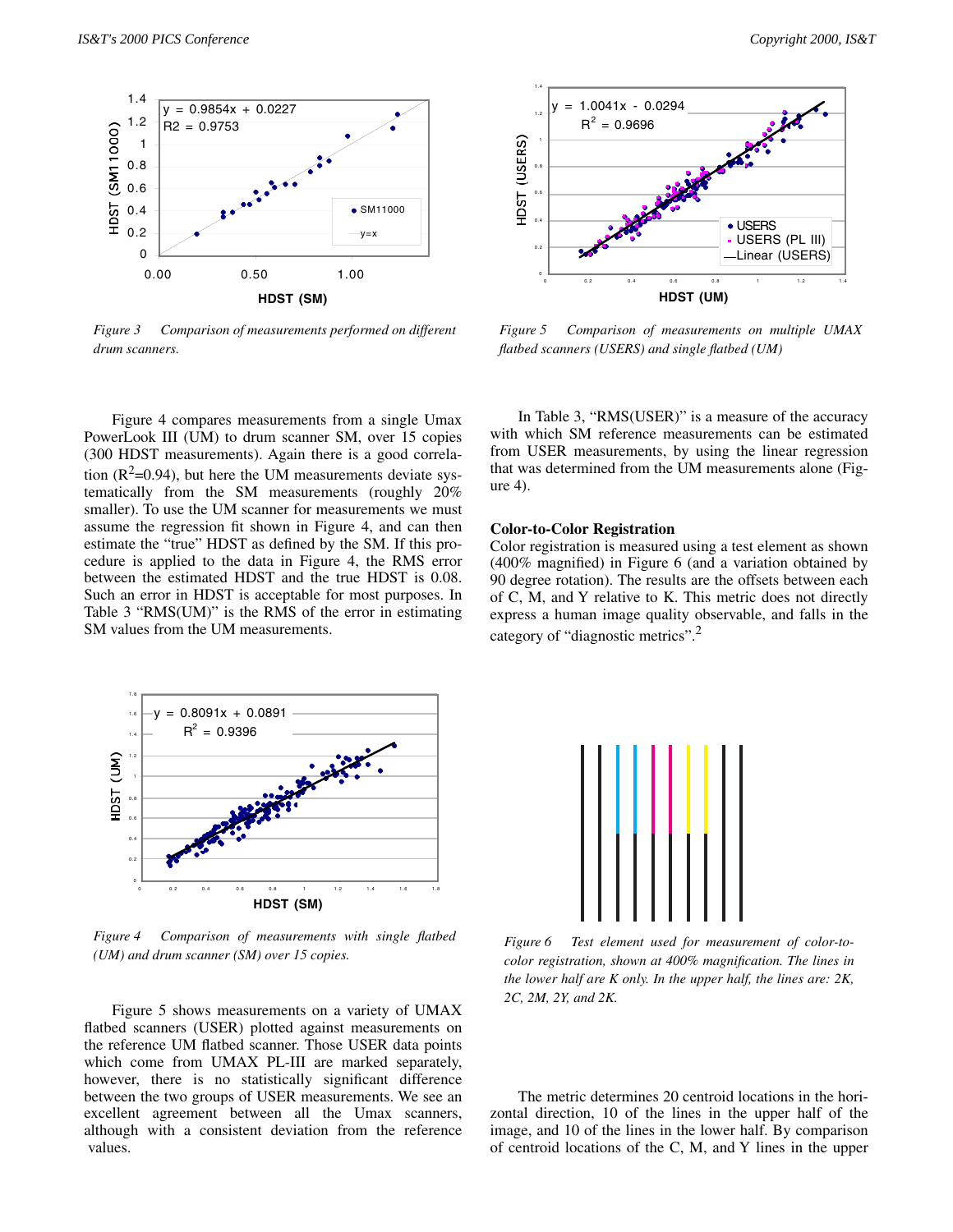

*Figure 3 Comparison of measurements performed on different drum scanners.*

Figure 4 compares measurements from a single Umax PowerLook III (UM) to drum scanner SM, over 15 copies (300 HDST measurements). Again there is a good correlation  $(R^2=0.94)$ , but here the UM measurements deviate systematically from the SM measurements (roughly 20% smaller). To use the UM scanner for measurements we must assume the regression fit shown in Figure 4, and can then estimate the "true" HDST as defined by the SM. If this procedure is applied to the data in Figure 4, the RMS error between the estimated HDST and the true HDST is 0.08. Such an error in HDST is acceptable for most purposes. In Table 3 "RMS(UM)" is the RMS of the error in estimating SM values from the UM measurements.



*Figure 5 Comparison of measurements on multiple UMAX flatbed scanners (USERS) and single flatbed (UM)*

In Table 3, "RMS(USER)" is a measure of the accuracy with which SM reference measurements can be estimated from USER measurements, by using the linear regression that was determined from the UM measurements alone (Figure 4).

#### **Color-to-Color Registration**

Color registration is measured using a test element as shown (400% magnified) in Figure 6 (and a variation obtained by 90 degree rotation). The results are the offsets between each of C, M, and Y relative to K. This metric does not directly express a human image quality observable, and falls in the category of "diagnostic metrics".2



*Figure 4 Comparison of measurements with single flatbed (UM) and drum scanner (SM) over 15 copies.*

Figure 5 shows measurements on a variety of UMAX flatbed scanners (USER) plotted against measurements on the reference UM flatbed scanner. Those USER data points which come from UMAX PL-III are marked separately, however, there is no statistically significant difference between the two groups of USER measurements. We see an excellent agreement between all the Umax scanners, although with a consistent deviation from the reference values.



*Figure 6 Test element used for measurement of color-tocolor registration, shown at 400% magnification. The lines in the lower half are K only. In the upper half, the lines are: 2K, 2C, 2M, 2Y, and 2K.*

The metric determines 20 centroid locations in the horizontal direction, 10 of the lines in the upper half of the image, and 10 of the lines in the lower half. By comparison of centroid locations of the C, M, and Y lines in the upper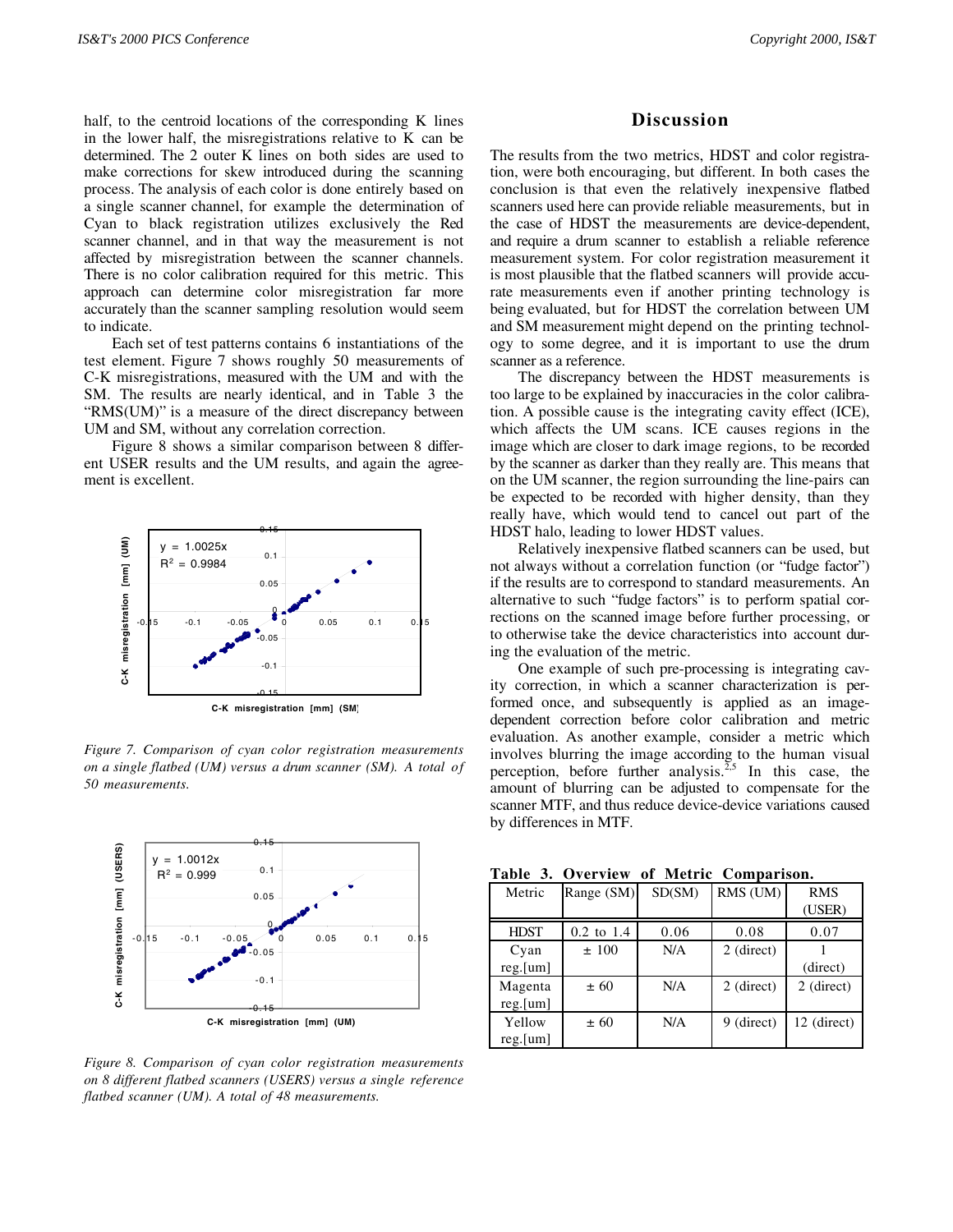half, to the centroid locations of the corresponding K lines in the lower half, the misregistrations relative to K can be determined. The 2 outer K lines on both sides are used to make corrections for skew introduced during the scanning process. The analysis of each color is done entirely based on a single scanner channel, for example the determination of Cyan to black registration utilizes exclusively the Red scanner channel, and in that way the measurement is not affected by misregistration between the scanner channels. There is no color calibration required for this metric. This approach can determine color misregistration far more accurately than the scanner sampling resolution would seem to indicate.

Each set of test patterns contains 6 instantiations of the test element. Figure 7 shows roughly 50 measurements of C-K misregistrations, measured with the UM and with the SM. The results are nearly identical, and in Table 3 the "RMS(UM)" is a measure of the direct discrepancy between UM and SM, without any correlation correction.

Figure 8 shows a similar comparison between 8 different USER results and the UM results, and again the agreement is excellent.



*Figure 7. Comparison of cyan color registration measurements on a single flatbed (UM) versus a drum scanner (SM). A total of 50 measurements.*



*Figure 8. Comparison of cyan color registration measurements on 8 different flatbed scanners (USERS) versus a single reference flatbed scanner (UM). A total of 48 measurements.*

## **Discussion**

The results from the two metrics, HDST and color registration, were both encouraging, but different. In both cases the conclusion is that even the relatively inexpensive flatbed scanners used here can provide reliable measurements, but in the case of HDST the measurements are device-dependent, and require a drum scanner to establish a reliable reference measurement system. For color registration measurement it is most plausible that the flatbed scanners will provide accurate measurements even if another printing technology is being evaluated, but for HDST the correlation between UM and SM measurement might depend on the printing technology to some degree, and it is important to use the drum scanner as a reference.

The discrepancy between the HDST measurements is too large to be explained by inaccuracies in the color calibration. A possible cause is the integrating cavity effect (ICE), which affects the UM scans. ICE causes regions in the image which are closer to dark image regions, to be recorded by the scanner as darker than they really are. This means that on the UM scanner, the region surrounding the line-pairs can be expected to be recorded with higher density, than they really have, which would tend to cancel out part of the HDST halo, leading to lower HDST values.

Relatively inexpensive flatbed scanners can be used, but not always without a correlation function (or "fudge factor") if the results are to correspond to standard measurements. An alternative to such "fudge factors" is to perform spatial corrections on the scanned image before further processing, or to otherwise take the device characteristics into account during the evaluation of the metric.

One example of such pre-processing is integrating cavity correction, in which a scanner characterization is performed once, and subsequently is applied as an imagedependent correction before color calibration and metric evaluation. As another example, consider a metric which involves blurring the image according to the human visual perception, before further analysis.<sup>2,5</sup> In this case, the amount of blurring can be adjusted to compensate for the scanner MTF, and thus reduce device-device variations caused by differences in MTF.

**Table 3. Overview of Metric Comparison.**

| Metric      | Range (SM)   | SD(SM) | RMS (UM)   | <b>RMS</b>  |
|-------------|--------------|--------|------------|-------------|
|             |              |        |            | (USER)      |
| <b>HDST</b> | $0.2$ to 1.4 | 0.06   | 0.08       | 0.07        |
| Cyan        | ±100         | N/A    | 2 (direct) |             |
| reg.[um]    |              |        |            | (direct)    |
| Magenta     | ± 60         | N/A    | 2 (direct) | 2 (direct)  |
| reg.[um]    |              |        |            |             |
| Yellow      | ± 60         | N/A    | 9 (direct) | 12 (direct) |
| reg.[um]    |              |        |            |             |